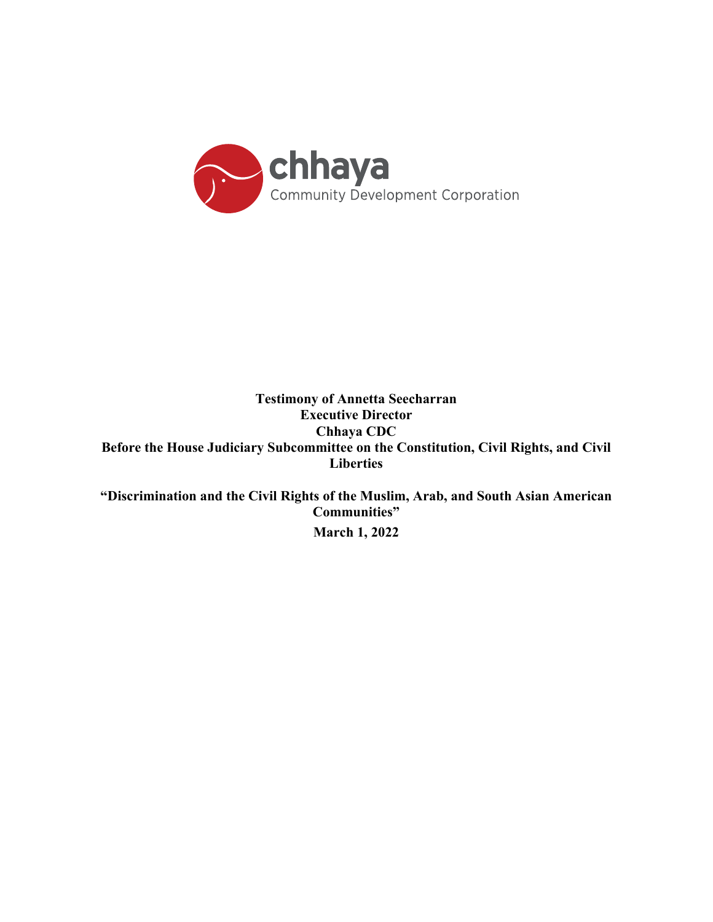

## **Testimony of Annetta Seecharran Executive Director Chhaya CDC Before the House Judiciary Subcommittee on the Constitution, Civil Rights, and Civil Liberties**

**"Discrimination and the Civil Rights of the Muslim, Arab, and South Asian American Communities" March 1, 2022**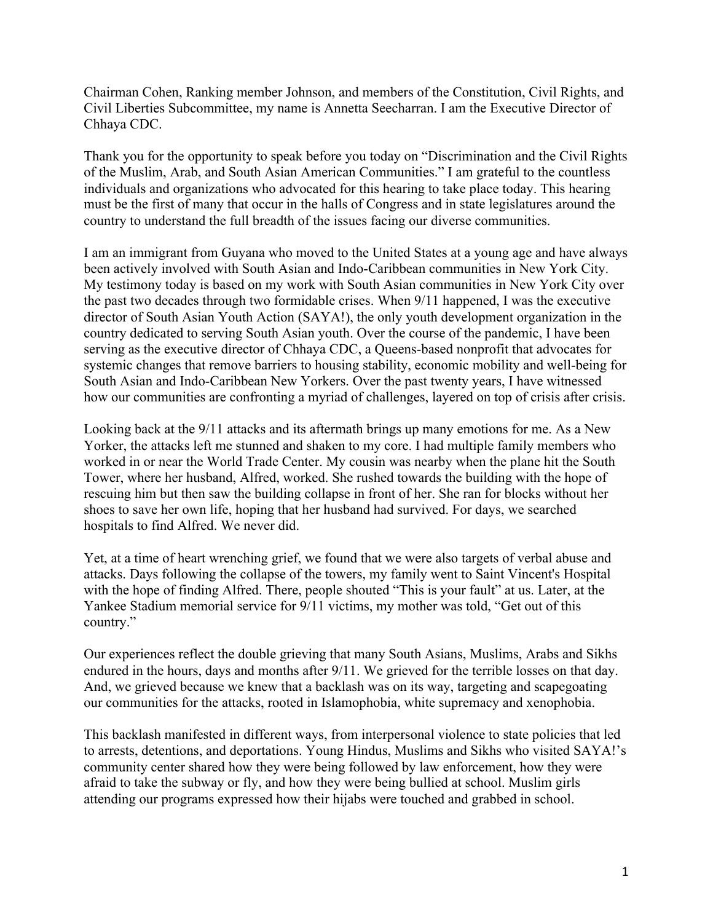Chairman Cohen, Ranking member Johnson, and members of the Constitution, Civil Rights, and Civil Liberties Subcommittee, my name is Annetta Seecharran. I am the Executive Director of Chhaya CDC.

Thank you for the opportunity to speak before you today on "Discrimination and the Civil Rights of the Muslim, Arab, and South Asian American Communities." I am grateful to the countless individuals and organizations who advocated for this hearing to take place today. This hearing must be the first of many that occur in the halls of Congress and in state legislatures around the country to understand the full breadth of the issues facing our diverse communities.

I am an immigrant from Guyana who moved to the United States at a young age and have always been actively involved with South Asian and Indo-Caribbean communities in New York City. My testimony today is based on my work with South Asian communities in New York City over the past two decades through two formidable crises. When 9/11 happened, I was the executive director of South Asian Youth Action (SAYA!), the only youth development organization in the country dedicated to serving South Asian youth. Over the course of the pandemic, I have been serving as the executive director of Chhaya CDC, a Queens-based nonprofit that advocates for systemic changes that remove barriers to housing stability, economic mobility and well-being for South Asian and Indo-Caribbean New Yorkers. Over the past twenty years, I have witnessed how our communities are confronting a myriad of challenges, layered on top of crisis after crisis.

Looking back at the 9/11 attacks and its aftermath brings up many emotions for me. As a New Yorker, the attacks left me stunned and shaken to my core. I had multiple family members who worked in or near the World Trade Center. My cousin was nearby when the plane hit the South Tower, where her husband, Alfred, worked. She rushed towards the building with the hope of rescuing him but then saw the building collapse in front of her. She ran for blocks without her shoes to save her own life, hoping that her husband had survived. For days, we searched hospitals to find Alfred. We never did.

Yet, at a time of heart wrenching grief, we found that we were also targets of verbal abuse and attacks. Days following the collapse of the towers, my family went to Saint Vincent's Hospital with the hope of finding Alfred. There, people shouted "This is your fault" at us. Later, at the Yankee Stadium memorial service for 9/11 victims, my mother was told, "Get out of this country."

Our experiences reflect the double grieving that many South Asians, Muslims, Arabs and Sikhs endured in the hours, days and months after 9/11. We grieved for the terrible losses on that day. And, we grieved because we knew that a backlash was on its way, targeting and scapegoating our communities for the attacks, rooted in Islamophobia, white supremacy and xenophobia.

This backlash manifested in different ways, from interpersonal violence to state policies that led to arrests, detentions, and deportations. Young Hindus, Muslims and Sikhs who visited SAYA!'s community center shared how they were being followed by law enforcement, how they were afraid to take the subway or fly, and how they were being bullied at school. Muslim girls attending our programs expressed how their hijabs were touched and grabbed in school.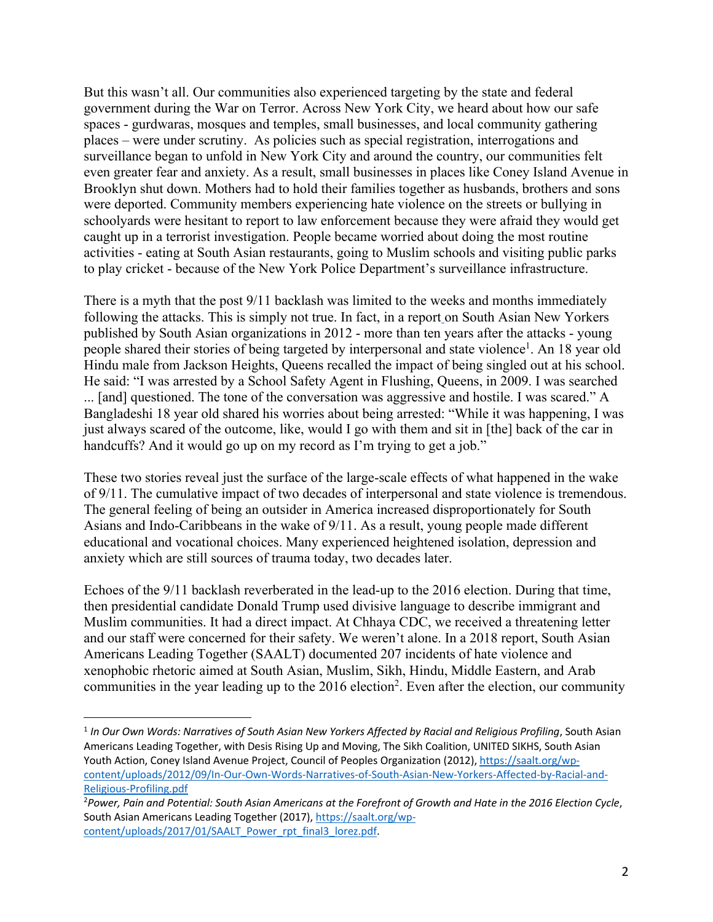But this wasn't all. Our communities also experienced targeting by the state and federal government during the War on Terror. Across New York City, we heard about how our safe spaces - gurdwaras, mosques and temples, small businesses, and local community gathering places – were under scrutiny. As policies such as special registration, interrogations and surveillance began to unfold in New York City and around the country, our communities felt even greater fear and anxiety. As a result, small businesses in places like Coney Island Avenue in Brooklyn shut down. Mothers had to hold their families together as husbands, brothers and sons were deported. Community members experiencing hate violence on the streets or bullying in schoolyards were hesitant to report to law enforcement because they were afraid they would get caught up in a terrorist investigation. People became worried about doing the most routine activities - eating at South Asian restaurants, going to Muslim schools and visiting public parks to play cricket - because of the New York Police Department's surveillance infrastructure.

There is a myth that the post 9/11 backlash was limited to the weeks and months immediately following the attacks. This is simply not true. In fact, in a report on South Asian New Yorkers published by South Asian organizations in 2012 - more than ten years after the attacks - young people shared their stories of being targeted by interpersonal and state violence<sup>1</sup>. An 18 year old Hindu male from Jackson Heights, Queens recalled the impact of being singled out at his school. He said: "I was arrested by a School Safety Agent in Flushing, Queens, in 2009. I was searched ... [and] questioned. The tone of the conversation was aggressive and hostile. I was scared." A Bangladeshi 18 year old shared his worries about being arrested: "While it was happening, I was just always scared of the outcome, like, would I go with them and sit in [the] back of the car in handcuffs? And it would go up on my record as I'm trying to get a job."

These two stories reveal just the surface of the large-scale effects of what happened in the wake of 9/11. The cumulative impact of two decades of interpersonal and state violence is tremendous. The general feeling of being an outsider in America increased disproportionately for South Asians and Indo-Caribbeans in the wake of 9/11. As a result, young people made different educational and vocational choices. Many experienced heightened isolation, depression and anxiety which are still sources of trauma today, two decades later.

Echoes of the 9/11 backlash reverberated in the lead-up to the 2016 election. During that time, then presidential candidate Donald Trump used divisive language to describe immigrant and Muslim communities. It had a direct impact. At Chhaya CDC, we received a threatening letter and our staff were concerned for their safety. We weren't alone. In a 2018 report, South Asian Americans Leading Together (SAALT) documented 207 incidents of hate violence and xenophobic rhetoric aimed at South Asian, Muslim, Sikh, Hindu, Middle Eastern, and Arab communities in the year leading up to the  $2016$  election<sup>2</sup>. Even after the election, our community

<sup>1</sup> *In Our Own Words: Narratives of South Asian New Yorkers Affected by Racial and Religious Profiling*, South Asian Americans Leading Together, with Desis Rising Up and Moving, The Sikh Coalition, UNITED SIKHS, South Asian Youth Action, Coney Island Avenue Project, Council of Peoples Organization (2012), https://saalt.org/wpcontent/uploads/2012/09/In-Our-Own-Words-Narratives-of-South-Asian-New-Yorkers-Affected-by-Racial-and-Religious-Profiling.pdf

<sup>2</sup> *Power, Pain and Potential: South Asian Americans at the Forefront of Growth and Hate in the 2016 Election Cycle*, South Asian Americans Leading Together (2017), https://saalt.org/wpcontent/uploads/2017/01/SAALT\_Power\_rpt\_final3\_lorez.pdf.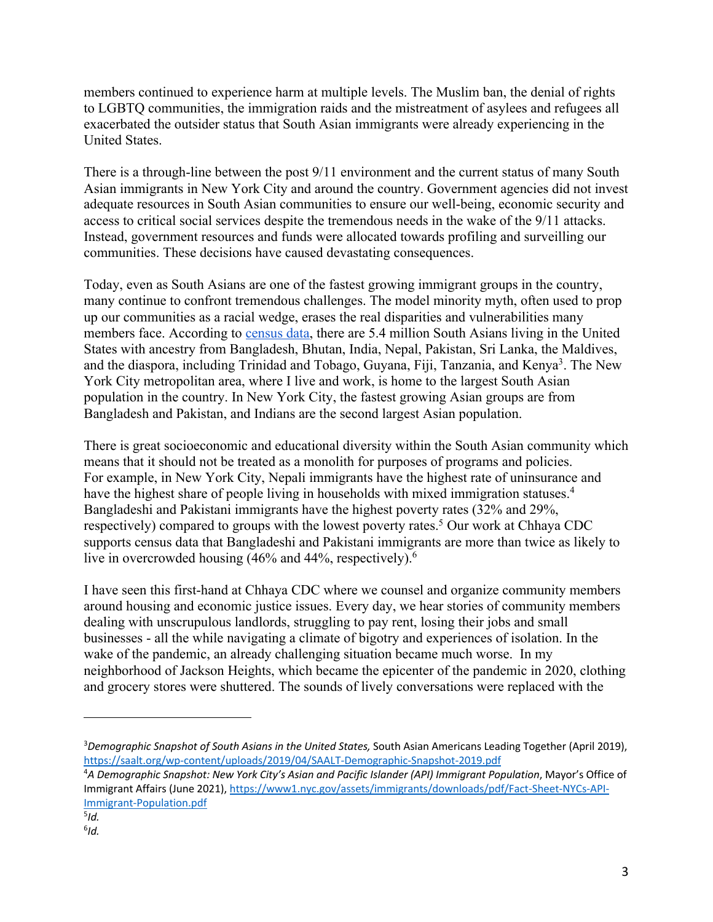members continued to experience harm at multiple levels. The Muslim ban, the denial of rights to LGBTQ communities, the immigration raids and the mistreatment of asylees and refugees all exacerbated the outsider status that South Asian immigrants were already experiencing in the United States.

There is a through-line between the post 9/11 environment and the current status of many South Asian immigrants in New York City and around the country. Government agencies did not invest adequate resources in South Asian communities to ensure our well-being, economic security and access to critical social services despite the tremendous needs in the wake of the 9/11 attacks. Instead, government resources and funds were allocated towards profiling and surveilling our communities. These decisions have caused devastating consequences.

Today, even as South Asians are one of the fastest growing immigrant groups in the country, many continue to confront tremendous challenges. The model minority myth, often used to prop up our communities as a racial wedge, erases the real disparities and vulnerabilities many members face. According to census data, there are 5.4 million South Asians living in the United States with ancestry from Bangladesh, Bhutan, India, Nepal, Pakistan, Sri Lanka, the Maldives, and the diaspora, including Trinidad and Tobago, Guyana, Fiji, Tanzania, and Kenya<sup>3</sup>. The New York City metropolitan area, where I live and work, is home to the largest South Asian population in the country. In New York City, the fastest growing Asian groups are from Bangladesh and Pakistan, and Indians are the second largest Asian population.

There is great socioeconomic and educational diversity within the South Asian community which means that it should not be treated as a monolith for purposes of programs and policies. For example, in New York City, Nepali immigrants have the highest rate of uninsurance and have the highest share of people living in households with mixed immigration statuses.<sup>4</sup> Bangladeshi and Pakistani immigrants have the highest poverty rates (32% and 29%, respectively) compared to groups with the lowest poverty rates.<sup>5</sup> Our work at Chhaya CDC supports census data that Bangladeshi and Pakistani immigrants are more than twice as likely to live in overcrowded housing (46% and 44%, respectively).<sup>6</sup>

I have seen this first-hand at Chhaya CDC where we counsel and organize community members around housing and economic justice issues. Every day, we hear stories of community members dealing with unscrupulous landlords, struggling to pay rent, losing their jobs and small businesses - all the while navigating a climate of bigotry and experiences of isolation. In the wake of the pandemic, an already challenging situation became much worse. In my neighborhood of Jackson Heights, which became the epicenter of the pandemic in 2020, clothing and grocery stores were shuttered. The sounds of lively conversations were replaced with the

<sup>3</sup> *Demographic Snapshot of South Asians in the United States,* South Asian Americans Leading Together (April 2019), https://saalt.org/wp-content/uploads/2019/04/SAALT-Demographic-Snapshot-2019.pdf

<sup>4</sup> *A Demographic Snapshot: New York City's Asian and Pacific Islander (API) Immigrant Population*, Mayor's Office of Immigrant Affairs (June 2021), https://www1.nyc.gov/assets/immigrants/downloads/pdf/Fact-Sheet-NYCs-API-Immigrant-Population.pdf 5

*Id.*

<sup>6</sup> *Id.*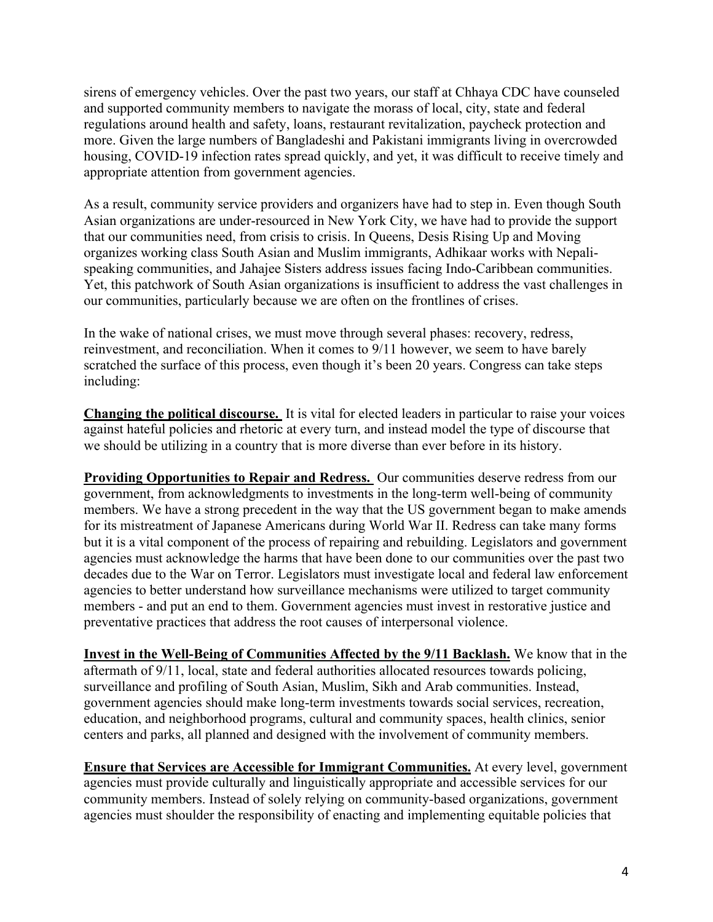sirens of emergency vehicles. Over the past two years, our staff at Chhaya CDC have counseled and supported community members to navigate the morass of local, city, state and federal regulations around health and safety, loans, restaurant revitalization, paycheck protection and more. Given the large numbers of Bangladeshi and Pakistani immigrants living in overcrowded housing, COVID-19 infection rates spread quickly, and yet, it was difficult to receive timely and appropriate attention from government agencies.

As a result, community service providers and organizers have had to step in. Even though South Asian organizations are under-resourced in New York City, we have had to provide the support that our communities need, from crisis to crisis. In Queens, Desis Rising Up and Moving organizes working class South Asian and Muslim immigrants, Adhikaar works with Nepalispeaking communities, and Jahajee Sisters address issues facing Indo-Caribbean communities. Yet, this patchwork of South Asian organizations is insufficient to address the vast challenges in our communities, particularly because we are often on the frontlines of crises.

In the wake of national crises, we must move through several phases: recovery, redress, reinvestment, and reconciliation. When it comes to 9/11 however, we seem to have barely scratched the surface of this process, even though it's been 20 years. Congress can take steps including:

**Changing the political discourse.** It is vital for elected leaders in particular to raise your voices against hateful policies and rhetoric at every turn, and instead model the type of discourse that we should be utilizing in a country that is more diverse than ever before in its history.

**Providing Opportunities to Repair and Redress.** Our communities deserve redress from our government, from acknowledgments to investments in the long-term well-being of community members. We have a strong precedent in the way that the US government began to make amends for its mistreatment of Japanese Americans during World War II. Redress can take many forms but it is a vital component of the process of repairing and rebuilding. Legislators and government agencies must acknowledge the harms that have been done to our communities over the past two decades due to the War on Terror. Legislators must investigate local and federal law enforcement agencies to better understand how surveillance mechanisms were utilized to target community members - and put an end to them. Government agencies must invest in restorative justice and preventative practices that address the root causes of interpersonal violence.

**Invest in the Well-Being of Communities Affected by the 9/11 Backlash.** We know that in the aftermath of 9/11, local, state and federal authorities allocated resources towards policing, surveillance and profiling of South Asian, Muslim, Sikh and Arab communities. Instead, government agencies should make long-term investments towards social services, recreation, education, and neighborhood programs, cultural and community spaces, health clinics, senior centers and parks, all planned and designed with the involvement of community members.

**Ensure that Services are Accessible for Immigrant Communities.** At every level, government agencies must provide culturally and linguistically appropriate and accessible services for our community members. Instead of solely relying on community-based organizations, government agencies must shoulder the responsibility of enacting and implementing equitable policies that